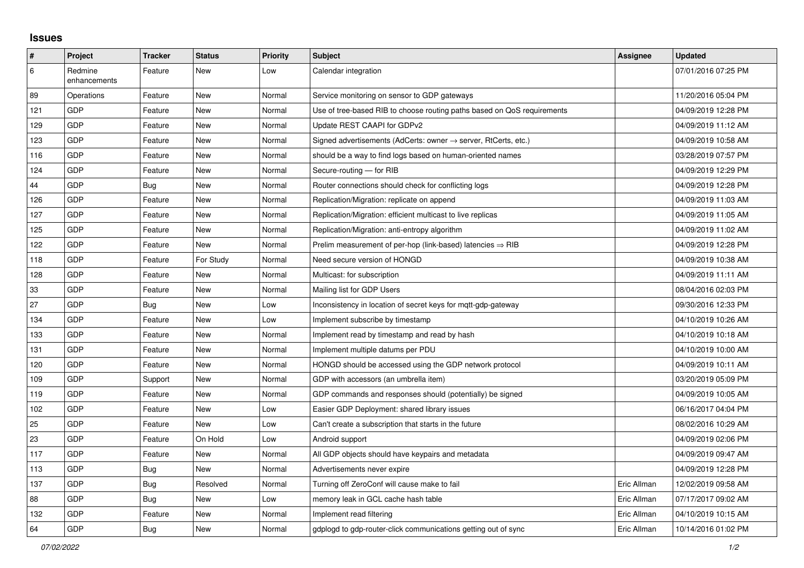## **Issues**

| $\sharp$ | Project                 | <b>Tracker</b> | <b>Status</b> | Priority | <b>Subject</b>                                                             | <b>Assignee</b> | <b>Updated</b>      |
|----------|-------------------------|----------------|---------------|----------|----------------------------------------------------------------------------|-----------------|---------------------|
| 6        | Redmine<br>enhancements | Feature        | <b>New</b>    | Low      | Calendar integration                                                       |                 | 07/01/2016 07:25 PM |
| 89       | Operations              | Feature        | <b>New</b>    | Normal   | Service monitoring on sensor to GDP gateways                               |                 | 11/20/2016 05:04 PM |
| 121      | GDP                     | Feature        | <b>New</b>    | Normal   | Use of tree-based RIB to choose routing paths based on QoS requirements    |                 | 04/09/2019 12:28 PM |
| 129      | <b>GDP</b>              | Feature        | <b>New</b>    | Normal   | Update REST CAAPI for GDPv2                                                |                 | 04/09/2019 11:12 AM |
| 123      | GDP                     | Feature        | <b>New</b>    | Normal   | Signed advertisements (AdCerts: owner $\rightarrow$ server, RtCerts, etc.) |                 | 04/09/2019 10:58 AM |
| 116      | <b>GDP</b>              | Feature        | <b>New</b>    | Normal   | should be a way to find logs based on human-oriented names                 |                 | 03/28/2019 07:57 PM |
| 124      | <b>GDP</b>              | Feature        | <b>New</b>    | Normal   | Secure-routing - for RIB                                                   |                 | 04/09/2019 12:29 PM |
| 44       | GDP                     | <b>Bug</b>     | <b>New</b>    | Normal   | Router connections should check for conflicting logs                       |                 | 04/09/2019 12:28 PM |
| 126      | <b>GDP</b>              | Feature        | <b>New</b>    | Normal   | Replication/Migration: replicate on append                                 |                 | 04/09/2019 11:03 AM |
| 127      | GDP                     | Feature        | <b>New</b>    | Normal   | Replication/Migration: efficient multicast to live replicas                |                 | 04/09/2019 11:05 AM |
| 125      | GDP                     | Feature        | <b>New</b>    | Normal   | Replication/Migration: anti-entropy algorithm                              |                 | 04/09/2019 11:02 AM |
| 122      | <b>GDP</b>              | Feature        | <b>New</b>    | Normal   | Prelim measurement of per-hop (link-based) latencies $\Rightarrow$ RIB     |                 | 04/09/2019 12:28 PM |
| 118      | GDP                     | Feature        | For Study     | Normal   | Need secure version of HONGD                                               |                 | 04/09/2019 10:38 AM |
| 128      | <b>GDP</b>              | Feature        | New           | Normal   | Multicast: for subscription                                                |                 | 04/09/2019 11:11 AM |
| 33       | GDP                     | Feature        | <b>New</b>    | Normal   | Mailing list for GDP Users                                                 |                 | 08/04/2016 02:03 PM |
| 27       | <b>GDP</b>              | <b>Bug</b>     | <b>New</b>    | Low      | Inconsistency in location of secret keys for mqtt-gdp-gateway              |                 | 09/30/2016 12:33 PM |
| 134      | GDP                     | Feature        | <b>New</b>    | Low      | Implement subscribe by timestamp                                           |                 | 04/10/2019 10:26 AM |
| 133      | GDP                     | Feature        | <b>New</b>    | Normal   | Implement read by timestamp and read by hash                               |                 | 04/10/2019 10:18 AM |
| 131      | <b>GDP</b>              | Feature        | <b>New</b>    | Normal   | Implement multiple datums per PDU                                          |                 | 04/10/2019 10:00 AM |
| 120      | GDP                     | Feature        | <b>New</b>    | Normal   | HONGD should be accessed using the GDP network protocol                    |                 | 04/09/2019 10:11 AM |
| 109      | <b>GDP</b>              | Support        | <b>New</b>    | Normal   | GDP with accessors (an umbrella item)                                      |                 | 03/20/2019 05:09 PM |
| 119      | GDP                     | Feature        | <b>New</b>    | Normal   | GDP commands and responses should (potentially) be signed                  |                 | 04/09/2019 10:05 AM |
| 102      | GDP                     | Feature        | <b>New</b>    | Low      | Easier GDP Deployment: shared library issues                               |                 | 06/16/2017 04:04 PM |
| 25       | <b>GDP</b>              | Feature        | <b>New</b>    | Low      | Can't create a subscription that starts in the future                      |                 | 08/02/2016 10:29 AM |
| 23       | GDP                     | Feature        | On Hold       | Low      | Android support                                                            |                 | 04/09/2019 02:06 PM |
| 117      | <b>GDP</b>              | Feature        | <b>New</b>    | Normal   | All GDP objects should have keypairs and metadata                          |                 | 04/09/2019 09:47 AM |
| 113      | <b>GDP</b>              | Bug            | <b>New</b>    | Normal   | Advertisements never expire                                                |                 | 04/09/2019 12:28 PM |
| 137      | GDP                     | <b>Bug</b>     | Resolved      | Normal   | Turning off ZeroConf will cause make to fail                               | Eric Allman     | 12/02/2019 09:58 AM |
| 88       | <b>GDP</b>              | <b>Bug</b>     | <b>New</b>    | Low      | memory leak in GCL cache hash table                                        | Eric Allman     | 07/17/2017 09:02 AM |
| 132      | GDP                     | Feature        | <b>New</b>    | Normal   | Implement read filtering                                                   | Eric Allman     | 04/10/2019 10:15 AM |
| 64       | GDP                     | Bug            | <b>New</b>    | Normal   | gdplogd to gdp-router-click communications getting out of sync             | Eric Allman     | 10/14/2016 01:02 PM |